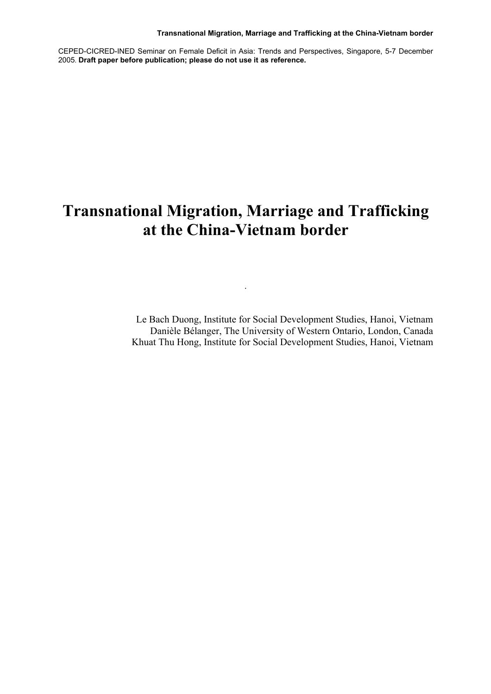CEPED-CICRED-INED Seminar on Female Deficit in Asia: Trends and Perspectives, Singapore, 5-7 December 2005. **Draft paper before publication; please do not use it as reference.**

# **Transnational Migration, Marriage and Trafficking at the China-Vietnam border**

.

Le Bach Duong, Institute for Social Development Studies, Hanoi, Vietnam Danièle Bélanger, The University of Western Ontario, London, Canada Khuat Thu Hong, Institute for Social Development Studies, Hanoi, Vietnam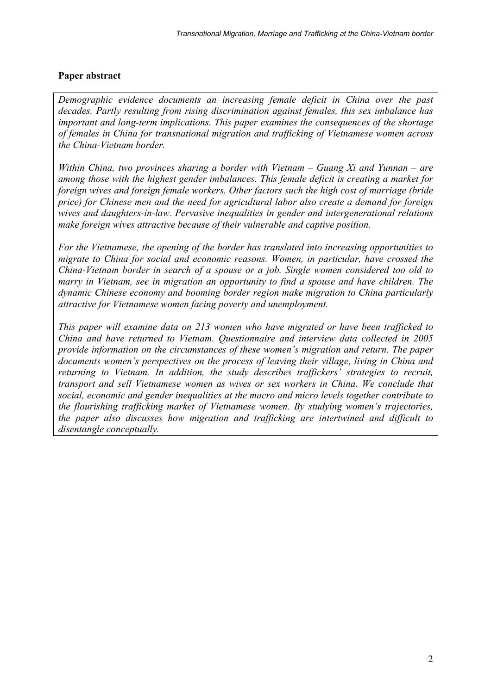# **Paper abstract**

*Demographic evidence documents an increasing female deficit in China over the past decades. Partly resulting from rising discrimination against females, this sex imbalance has important and long-term implications. This paper examines the consequences of the shortage of females in China for transnational migration and trafficking of Vietnamese women across the China-Vietnam border.* 

*Within China, two provinces sharing a border with Vietnam – Guang Xi and Yunnan – are among those with the highest gender imbalances. This female deficit is creating a market for foreign wives and foreign female workers. Other factors such the high cost of marriage (bride price) for Chinese men and the need for agricultural labor also create a demand for foreign wives and daughters-in-law. Pervasive inequalities in gender and intergenerational relations make foreign wives attractive because of their vulnerable and captive position.* 

*For the Vietnamese, the opening of the border has translated into increasing opportunities to migrate to China for social and economic reasons. Women, in particular, have crossed the China-Vietnam border in search of a spouse or a job. Single women considered too old to marry in Vietnam, see in migration an opportunity to find a spouse and have children. The dynamic Chinese economy and booming border region make migration to China particularly attractive for Vietnamese women facing poverty and unemployment.* 

*This paper will examine data on 213 women who have migrated or have been trafficked to China and have returned to Vietnam. Questionnaire and interview data collected in 2005 provide information on the circumstances of these women's migration and return. The paper documents women's perspectives on the process of leaving their village, living in China and returning to Vietnam. In addition, the study describes traffickers' strategies to recruit, transport and sell Vietnamese women as wives or sex workers in China. We conclude that social, economic and gender inequalities at the macro and micro levels together contribute to the flourishing trafficking market of Vietnamese women. By studying women's trajectories, the paper also discusses how migration and trafficking are intertwined and difficult to disentangle conceptually.*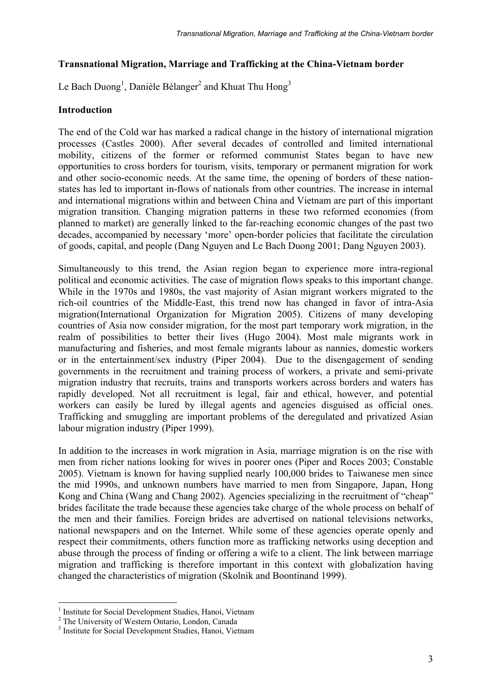# **Transnational Migration, Marriage and Trafficking at the China-Vietnam border**

Le Bach Duong<sup>1</sup>, Danièle Bélanger<sup>2</sup> and Khuat Thu Hong<sup>3</sup>

## **Introduction**

The end of the Cold war has marked a radical change in the history of international migration processes (Castles 2000). After several decades of controlled and limited international mobility, citizens of the former or reformed communist States began to have new opportunities to cross borders for tourism, visits, temporary or permanent migration for work and other socio-economic needs. At the same time, the opening of borders of these nationstates has led to important in-flows of nationals from other countries. The increase in internal and international migrations within and between China and Vietnam are part of this important migration transition. Changing migration patterns in these two reformed economies (from planned to market) are generally linked to the far-reaching economic changes of the past two decades, accompanied by necessary 'more' open-border policies that facilitate the circulation of goods, capital, and people (Dang Nguyen and Le Bach Duong 2001; Dang Nguyen 2003).

Simultaneously to this trend, the Asian region began to experience more intra-regional political and economic activities. The case of migration flows speaks to this important change. While in the 1970s and 1980s, the vast majority of Asian migrant workers migrated to the rich-oil countries of the Middle-East, this trend now has changed in favor of intra-Asia migration(International Organization for Migration 2005). Citizens of many developing countries of Asia now consider migration, for the most part temporary work migration, in the realm of possibilities to better their lives (Hugo 2004). Most male migrants work in manufacturing and fisheries, and most female migrants labour as nannies, domestic workers or in the entertainment/sex industry (Piper 2004). Due to the disengagement of sending governments in the recruitment and training process of workers, a private and semi-private migration industry that recruits, trains and transports workers across borders and waters has rapidly developed. Not all recruitment is legal, fair and ethical, however, and potential workers can easily be lured by illegal agents and agencies disguised as official ones. Trafficking and smuggling are important problems of the deregulated and privatized Asian labour migration industry (Piper 1999).

In addition to the increases in work migration in Asia, marriage migration is on the rise with men from richer nations looking for wives in poorer ones (Piper and Roces 2003; Constable 2005). Vietnam is known for having supplied nearly 100,000 brides to Taiwanese men since the mid 1990s, and unknown numbers have married to men from Singapore, Japan, Hong Kong and China (Wang and Chang 2002). Agencies specializing in the recruitment of "cheap" brides facilitate the trade because these agencies take charge of the whole process on behalf of the men and their families. Foreign brides are advertised on national televisions networks, national newspapers and on the Internet. While some of these agencies operate openly and respect their commitments, others function more as trafficking networks using deception and abuse through the process of finding or offering a wife to a client. The link between marriage migration and trafficking is therefore important in this context with globalization having changed the characteristics of migration (Skolnik and Boontinand 1999).

 1 Institute for Social Development Studies, Hanoi, Vietnam

<sup>&</sup>lt;sup>2</sup> The University of Western Ontario, London, Canada

<sup>3</sup> Institute for Social Development Studies, Hanoi, Vietnam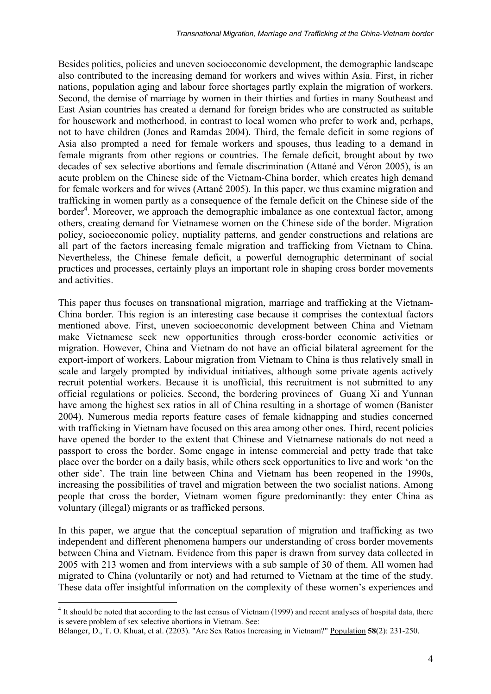Besides politics, policies and uneven socioeconomic development, the demographic landscape also contributed to the increasing demand for workers and wives within Asia. First, in richer nations, population aging and labour force shortages partly explain the migration of workers. Second, the demise of marriage by women in their thirties and forties in many Southeast and East Asian countries has created a demand for foreign brides who are constructed as suitable for housework and motherhood, in contrast to local women who prefer to work and, perhaps, not to have children (Jones and Ramdas 2004). Third, the female deficit in some regions of Asia also prompted a need for female workers and spouses, thus leading to a demand in female migrants from other regions or countries. The female deficit, brought about by two decades of sex selective abortions and female discrimination (Attané and Véron 2005), is an acute problem on the Chinese side of the Vietnam-China border, which creates high demand for female workers and for wives (Attané 2005). In this paper, we thus examine migration and trafficking in women partly as a consequence of the female deficit on the Chinese side of the border<sup>4</sup>. Moreover, we approach the demographic imbalance as one contextual factor, among others, creating demand for Vietnamese women on the Chinese side of the border. Migration policy, socioeconomic policy, nuptiality patterns, and gender constructions and relations are all part of the factors increasing female migration and trafficking from Vietnam to China. Nevertheless, the Chinese female deficit, a powerful demographic determinant of social practices and processes, certainly plays an important role in shaping cross border movements and activities.

This paper thus focuses on transnational migration, marriage and trafficking at the Vietnam-China border. This region is an interesting case because it comprises the contextual factors mentioned above. First, uneven socioeconomic development between China and Vietnam make Vietnamese seek new opportunities through cross-border economic activities or migration. However, China and Vietnam do not have an official bilateral agreement for the export-import of workers. Labour migration from Vietnam to China is thus relatively small in scale and largely prompted by individual initiatives, although some private agents actively recruit potential workers. Because it is unofficial, this recruitment is not submitted to any official regulations or policies. Second, the bordering provinces of Guang Xi and Yunnan have among the highest sex ratios in all of China resulting in a shortage of women (Banister 2004). Numerous media reports feature cases of female kidnapping and studies concerned with trafficking in Vietnam have focused on this area among other ones. Third, recent policies have opened the border to the extent that Chinese and Vietnamese nationals do not need a passport to cross the border. Some engage in intense commercial and petty trade that take place over the border on a daily basis, while others seek opportunities to live and work 'on the other side'. The train line between China and Vietnam has been reopened in the 1990s, increasing the possibilities of travel and migration between the two socialist nations. Among people that cross the border, Vietnam women figure predominantly: they enter China as voluntary (illegal) migrants or as trafficked persons.

In this paper, we argue that the conceptual separation of migration and trafficking as two independent and different phenomena hampers our understanding of cross border movements between China and Vietnam. Evidence from this paper is drawn from survey data collected in 2005 with 213 women and from interviews with a sub sample of 30 of them. All women had migrated to China (voluntarily or not) and had returned to Vietnam at the time of the study. These data offer insightful information on the complexity of these women's experiences and

 $\overline{a}$ 

<sup>&</sup>lt;sup>4</sup> It should be noted that according to the last census of Vietnam (1999) and recent analyses of hospital data, there is severe problem of sex selective abortions in Vietnam. See:

Bélanger, D., T. O. Khuat, et al. (2203). "Are Sex Ratios Increasing in Vietnam?" Population **58**(2): 231-250.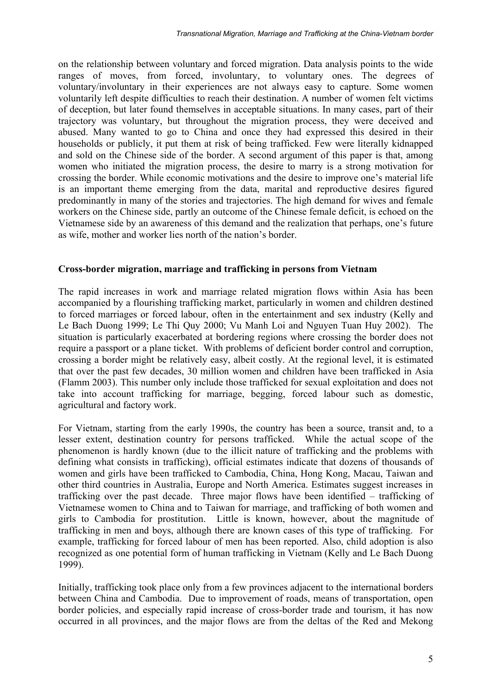on the relationship between voluntary and forced migration. Data analysis points to the wide ranges of moves, from forced, involuntary, to voluntary ones. The degrees of voluntary/involuntary in their experiences are not always easy to capture. Some women voluntarily left despite difficulties to reach their destination. A number of women felt victims of deception, but later found themselves in acceptable situations. In many cases, part of their trajectory was voluntary, but throughout the migration process, they were deceived and abused. Many wanted to go to China and once they had expressed this desired in their households or publicly, it put them at risk of being trafficked. Few were literally kidnapped and sold on the Chinese side of the border. A second argument of this paper is that, among women who initiated the migration process, the desire to marry is a strong motivation for crossing the border. While economic motivations and the desire to improve one's material life is an important theme emerging from the data, marital and reproductive desires figured predominantly in many of the stories and trajectories. The high demand for wives and female workers on the Chinese side, partly an outcome of the Chinese female deficit, is echoed on the Vietnamese side by an awareness of this demand and the realization that perhaps, one's future as wife, mother and worker lies north of the nation's border.

#### **Cross-border migration, marriage and trafficking in persons from Vietnam**

The rapid increases in work and marriage related migration flows within Asia has been accompanied by a flourishing trafficking market, particularly in women and children destined to forced marriages or forced labour, often in the entertainment and sex industry (Kelly and Le Bach Duong 1999; Le Thi Quy 2000; Vu Manh Loi and Nguyen Tuan Huy 2002). The situation is particularly exacerbated at bordering regions where crossing the border does not require a passport or a plane ticket. With problems of deficient border control and corruption, crossing a border might be relatively easy, albeit costly. At the regional level, it is estimated that over the past few decades, 30 million women and children have been trafficked in Asia (Flamm 2003). This number only include those trafficked for sexual exploitation and does not take into account trafficking for marriage, begging, forced labour such as domestic, agricultural and factory work.

For Vietnam, starting from the early 1990s, the country has been a source, transit and, to a lesser extent, destination country for persons trafficked. While the actual scope of the phenomenon is hardly known (due to the illicit nature of trafficking and the problems with defining what consists in trafficking), official estimates indicate that dozens of thousands of women and girls have been trafficked to Cambodia, China, Hong Kong, Macau, Taiwan and other third countries in Australia, Europe and North America. Estimates suggest increases in trafficking over the past decade. Three major flows have been identified – trafficking of Vietnamese women to China and to Taiwan for marriage, and trafficking of both women and girls to Cambodia for prostitution. Little is known, however, about the magnitude of trafficking in men and boys, although there are known cases of this type of trafficking. For example, trafficking for forced labour of men has been reported. Also, child adoption is also recognized as one potential form of human trafficking in Vietnam (Kelly and Le Bach Duong 1999).

Initially, trafficking took place only from a few provinces adjacent to the international borders between China and Cambodia. Due to improvement of roads, means of transportation, open border policies, and especially rapid increase of cross-border trade and tourism, it has now occurred in all provinces, and the major flows are from the deltas of the Red and Mekong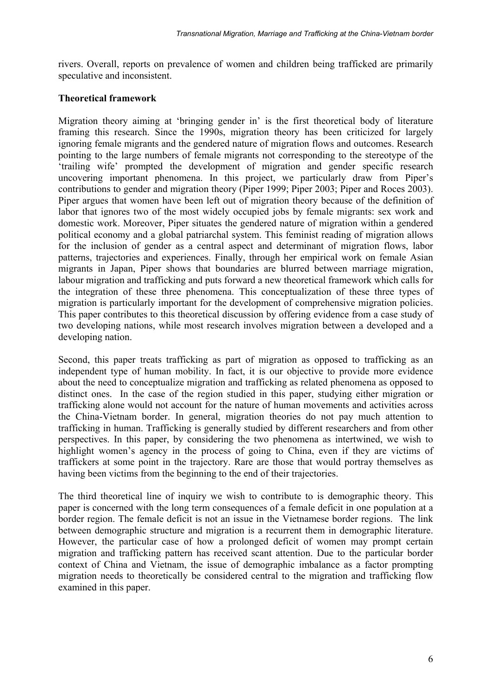rivers. Overall, reports on prevalence of women and children being trafficked are primarily speculative and inconsistent.

## **Theoretical framework**

Migration theory aiming at 'bringing gender in' is the first theoretical body of literature framing this research. Since the 1990s, migration theory has been criticized for largely ignoring female migrants and the gendered nature of migration flows and outcomes. Research pointing to the large numbers of female migrants not corresponding to the stereotype of the 'trailing wife' prompted the development of migration and gender specific research uncovering important phenomena. In this project, we particularly draw from Piper's contributions to gender and migration theory (Piper 1999; Piper 2003; Piper and Roces 2003). Piper argues that women have been left out of migration theory because of the definition of labor that ignores two of the most widely occupied jobs by female migrants: sex work and domestic work. Moreover, Piper situates the gendered nature of migration within a gendered political economy and a global patriarchal system. This feminist reading of migration allows for the inclusion of gender as a central aspect and determinant of migration flows, labor patterns, trajectories and experiences. Finally, through her empirical work on female Asian migrants in Japan, Piper shows that boundaries are blurred between marriage migration, labour migration and trafficking and puts forward a new theoretical framework which calls for the integration of these three phenomena. This conceptualization of these three types of migration is particularly important for the development of comprehensive migration policies. This paper contributes to this theoretical discussion by offering evidence from a case study of two developing nations, while most research involves migration between a developed and a developing nation.

Second, this paper treats trafficking as part of migration as opposed to trafficking as an independent type of human mobility. In fact, it is our objective to provide more evidence about the need to conceptualize migration and trafficking as related phenomena as opposed to distinct ones. In the case of the region studied in this paper, studying either migration or trafficking alone would not account for the nature of human movements and activities across the China-Vietnam border. In general, migration theories do not pay much attention to trafficking in human. Trafficking is generally studied by different researchers and from other perspectives. In this paper, by considering the two phenomena as intertwined, we wish to highlight women's agency in the process of going to China, even if they are victims of traffickers at some point in the trajectory. Rare are those that would portray themselves as having been victims from the beginning to the end of their trajectories.

The third theoretical line of inquiry we wish to contribute to is demographic theory. This paper is concerned with the long term consequences of a female deficit in one population at a border region. The female deficit is not an issue in the Vietnamese border regions. The link between demographic structure and migration is a recurrent them in demographic literature. However, the particular case of how a prolonged deficit of women may prompt certain migration and trafficking pattern has received scant attention. Due to the particular border context of China and Vietnam, the issue of demographic imbalance as a factor prompting migration needs to theoretically be considered central to the migration and trafficking flow examined in this paper.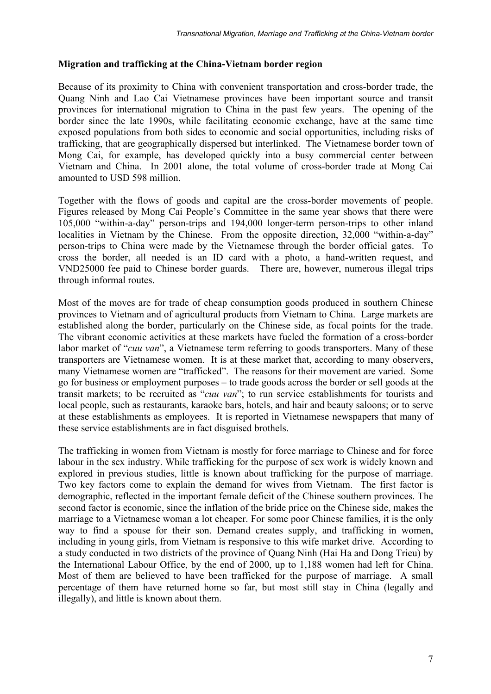## **Migration and trafficking at the China-Vietnam border region**

Because of its proximity to China with convenient transportation and cross-border trade, the Quang Ninh and Lao Cai Vietnamese provinces have been important source and transit provinces for international migration to China in the past few years. The opening of the border since the late 1990s, while facilitating economic exchange, have at the same time exposed populations from both sides to economic and social opportunities, including risks of trafficking, that are geographically dispersed but interlinked. The Vietnamese border town of Mong Cai, for example, has developed quickly into a busy commercial center between Vietnam and China. In 2001 alone, the total volume of cross-border trade at Mong Cai amounted to USD 598 million.

Together with the flows of goods and capital are the cross-border movements of people. Figures released by Mong Cai People's Committee in the same year shows that there were 105,000 "within-a-day" person-trips and 194,000 longer-term person-trips to other inland localities in Vietnam by the Chinese. From the opposite direction, 32,000 "within-a-day" person-trips to China were made by the Vietnamese through the border official gates. To cross the border, all needed is an ID card with a photo, a hand-written request, and VND25000 fee paid to Chinese border guards. There are, however, numerous illegal trips through informal routes.

Most of the moves are for trade of cheap consumption goods produced in southern Chinese provinces to Vietnam and of agricultural products from Vietnam to China. Large markets are established along the border, particularly on the Chinese side, as focal points for the trade. The vibrant economic activities at these markets have fueled the formation of a cross-border labor market of "*cuu van*", a Vietnamese term referring to goods transporters. Many of these transporters are Vietnamese women. It is at these market that, according to many observers, many Vietnamese women are "trafficked". The reasons for their movement are varied. Some go for business or employment purposes – to trade goods across the border or sell goods at the transit markets; to be recruited as "*cuu van*"; to run service establishments for tourists and local people, such as restaurants, karaoke bars, hotels, and hair and beauty saloons; or to serve at these establishments as employees. It is reported in Vietnamese newspapers that many of these service establishments are in fact disguised brothels.

The trafficking in women from Vietnam is mostly for force marriage to Chinese and for force labour in the sex industry. While trafficking for the purpose of sex work is widely known and explored in previous studies, little is known about trafficking for the purpose of marriage. Two key factors come to explain the demand for wives from Vietnam. The first factor is demographic, reflected in the important female deficit of the Chinese southern provinces. The second factor is economic, since the inflation of the bride price on the Chinese side, makes the marriage to a Vietnamese woman a lot cheaper. For some poor Chinese families, it is the only way to find a spouse for their son. Demand creates supply, and trafficking in women, including in young girls, from Vietnam is responsive to this wife market drive. According to a study conducted in two districts of the province of Quang Ninh (Hai Ha and Dong Trieu) by the International Labour Office, by the end of 2000, up to 1,188 women had left for China. Most of them are believed to have been trafficked for the purpose of marriage. A small percentage of them have returned home so far, but most still stay in China (legally and illegally), and little is known about them.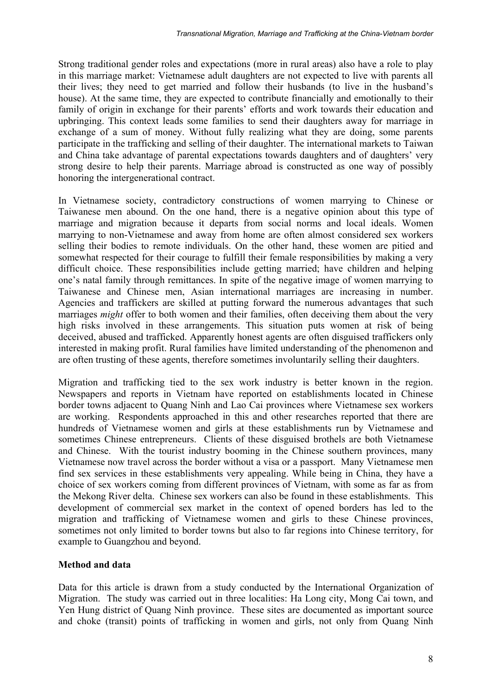Strong traditional gender roles and expectations (more in rural areas) also have a role to play in this marriage market: Vietnamese adult daughters are not expected to live with parents all their lives; they need to get married and follow their husbands (to live in the husband's house). At the same time, they are expected to contribute financially and emotionally to their family of origin in exchange for their parents' efforts and work towards their education and upbringing. This context leads some families to send their daughters away for marriage in exchange of a sum of money. Without fully realizing what they are doing, some parents participate in the trafficking and selling of their daughter. The international markets to Taiwan and China take advantage of parental expectations towards daughters and of daughters' very strong desire to help their parents. Marriage abroad is constructed as one way of possibly honoring the intergenerational contract.

In Vietnamese society, contradictory constructions of women marrying to Chinese or Taiwanese men abound. On the one hand, there is a negative opinion about this type of marriage and migration because it departs from social norms and local ideals. Women marrying to non-Vietnamese and away from home are often almost considered sex workers selling their bodies to remote individuals. On the other hand, these women are pitied and somewhat respected for their courage to fulfill their female responsibilities by making a very difficult choice. These responsibilities include getting married; have children and helping one's natal family through remittances. In spite of the negative image of women marrying to Taiwanese and Chinese men, Asian international marriages are increasing in number. Agencies and traffickers are skilled at putting forward the numerous advantages that such marriages *might* offer to both women and their families, often deceiving them about the very high risks involved in these arrangements. This situation puts women at risk of being deceived, abused and trafficked. Apparently honest agents are often disguised traffickers only interested in making profit. Rural families have limited understanding of the phenomenon and are often trusting of these agents, therefore sometimes involuntarily selling their daughters.

Migration and trafficking tied to the sex work industry is better known in the region. Newspapers and reports in Vietnam have reported on establishments located in Chinese border towns adjacent to Quang Ninh and Lao Cai provinces where Vietnamese sex workers are working. Respondents approached in this and other researches reported that there are hundreds of Vietnamese women and girls at these establishments run by Vietnamese and sometimes Chinese entrepreneurs. Clients of these disguised brothels are both Vietnamese and Chinese. With the tourist industry booming in the Chinese southern provinces, many Vietnamese now travel across the border without a visa or a passport. Many Vietnamese men find sex services in these establishments very appealing. While being in China, they have a choice of sex workers coming from different provinces of Vietnam, with some as far as from the Mekong River delta. Chinese sex workers can also be found in these establishments. This development of commercial sex market in the context of opened borders has led to the migration and trafficking of Vietnamese women and girls to these Chinese provinces, sometimes not only limited to border towns but also to far regions into Chinese territory, for example to Guangzhou and beyond.

# **Method and data**

Data for this article is drawn from a study conducted by the International Organization of Migration. The study was carried out in three localities: Ha Long city, Mong Cai town, and Yen Hung district of Quang Ninh province. These sites are documented as important source and choke (transit) points of trafficking in women and girls, not only from Quang Ninh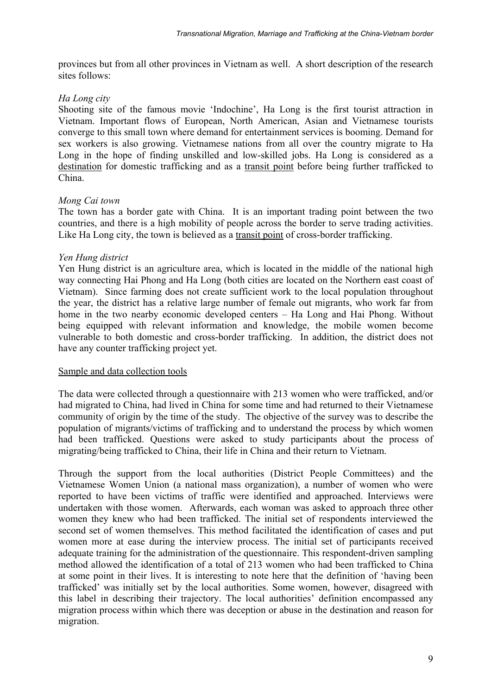provinces but from all other provinces in Vietnam as well. A short description of the research sites follows:

## *Ha Long city*

Shooting site of the famous movie 'Indochine', Ha Long is the first tourist attraction in Vietnam. Important flows of European, North American, Asian and Vietnamese tourists converge to this small town where demand for entertainment services is booming. Demand for sex workers is also growing. Vietnamese nations from all over the country migrate to Ha Long in the hope of finding unskilled and low-skilled jobs. Ha Long is considered as a destination for domestic trafficking and as a transit point before being further trafficked to China.

#### *Mong Cai town*

The town has a border gate with China. It is an important trading point between the two countries, and there is a high mobility of people across the border to serve trading activities. Like Ha Long city, the town is believed as a transit point of cross-border trafficking.

#### *Yen Hung district*

Yen Hung district is an agriculture area, which is located in the middle of the national high way connecting Hai Phong and Ha Long (both cities are located on the Northern east coast of Vietnam). Since farming does not create sufficient work to the local population throughout the year, the district has a relative large number of female out migrants, who work far from home in the two nearby economic developed centers – Ha Long and Hai Phong. Without being equipped with relevant information and knowledge, the mobile women become vulnerable to both domestic and cross-border trafficking. In addition, the district does not have any counter trafficking project yet.

#### Sample and data collection tools

The data were collected through a questionnaire with 213 women who were trafficked, and/or had migrated to China, had lived in China for some time and had returned to their Vietnamese community of origin by the time of the study. The objective of the survey was to describe the population of migrants/victims of trafficking and to understand the process by which women had been trafficked. Questions were asked to study participants about the process of migrating/being trafficked to China, their life in China and their return to Vietnam.

Through the support from the local authorities (District People Committees) and the Vietnamese Women Union (a national mass organization), a number of women who were reported to have been victims of traffic were identified and approached. Interviews were undertaken with those women. Afterwards, each woman was asked to approach three other women they knew who had been trafficked. The initial set of respondents interviewed the second set of women themselves. This method facilitated the identification of cases and put women more at ease during the interview process. The initial set of participants received adequate training for the administration of the questionnaire. This respondent-driven sampling method allowed the identification of a total of 213 women who had been trafficked to China at some point in their lives. It is interesting to note here that the definition of 'having been trafficked' was initially set by the local authorities. Some women, however, disagreed with this label in describing their trajectory. The local authorities' definition encompassed any migration process within which there was deception or abuse in the destination and reason for migration.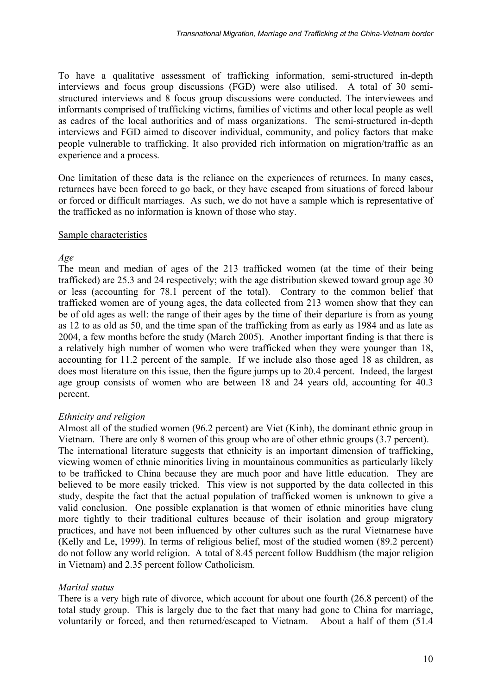To have a qualitative assessment of trafficking information, semi-structured in-depth interviews and focus group discussions (FGD) were also utilised. A total of 30 semistructured interviews and 8 focus group discussions were conducted. The interviewees and informants comprised of trafficking victims, families of victims and other local people as well as cadres of the local authorities and of mass organizations. The semi-structured in-depth interviews and FGD aimed to discover individual, community, and policy factors that make people vulnerable to trafficking. It also provided rich information on migration/traffic as an experience and a process.

One limitation of these data is the reliance on the experiences of returnees. In many cases, returnees have been forced to go back, or they have escaped from situations of forced labour or forced or difficult marriages. As such, we do not have a sample which is representative of the trafficked as no information is known of those who stay.

#### Sample characteristics

## *Age*

The mean and median of ages of the 213 trafficked women (at the time of their being trafficked) are 25.3 and 24 respectively; with the age distribution skewed toward group age 30 or less (accounting for 78.1 percent of the total). Contrary to the common belief that trafficked women are of young ages, the data collected from 213 women show that they can be of old ages as well: the range of their ages by the time of their departure is from as young as 12 to as old as 50, and the time span of the trafficking from as early as 1984 and as late as 2004, a few months before the study (March 2005). Another important finding is that there is a relatively high number of women who were trafficked when they were younger than 18, accounting for 11.2 percent of the sample. If we include also those aged 18 as children, as does most literature on this issue, then the figure jumps up to 20.4 percent. Indeed, the largest age group consists of women who are between 18 and 24 years old, accounting for 40.3 percent.

# *Ethnicity and religion*

Almost all of the studied women (96.2 percent) are Viet (Kinh), the dominant ethnic group in Vietnam. There are only 8 women of this group who are of other ethnic groups (3.7 percent). The international literature suggests that ethnicity is an important dimension of trafficking, viewing women of ethnic minorities living in mountainous communities as particularly likely to be trafficked to China because they are much poor and have little education. They are believed to be more easily tricked. This view is not supported by the data collected in this study, despite the fact that the actual population of trafficked women is unknown to give a valid conclusion. One possible explanation is that women of ethnic minorities have clung more tightly to their traditional cultures because of their isolation and group migratory practices, and have not been influenced by other cultures such as the rural Vietnamese have (Kelly and Le, 1999). In terms of religious belief, most of the studied women (89.2 percent) do not follow any world religion. A total of 8.45 percent follow Buddhism (the major religion in Vietnam) and 2.35 percent follow Catholicism.

# *Marital status*

There is a very high rate of divorce, which account for about one fourth (26.8 percent) of the total study group. This is largely due to the fact that many had gone to China for marriage, voluntarily or forced, and then returned/escaped to Vietnam. About a half of them (51.4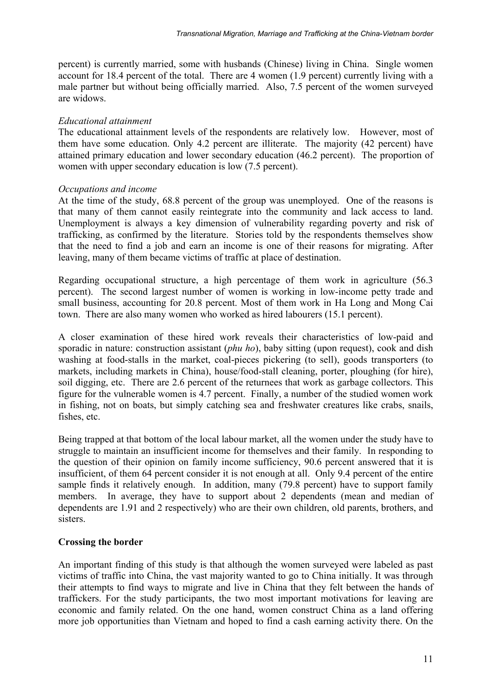percent) is currently married, some with husbands (Chinese) living in China. Single women account for 18.4 percent of the total. There are 4 women (1.9 percent) currently living with a male partner but without being officially married. Also, 7.5 percent of the women surveyed are widows.

#### *Educational attainment*

The educational attainment levels of the respondents are relatively low. However, most of them have some education. Only 4.2 percent are illiterate. The majority (42 percent) have attained primary education and lower secondary education (46.2 percent). The proportion of women with upper secondary education is low (7.5 percent).

## *Occupations and income*

At the time of the study, 68.8 percent of the group was unemployed. One of the reasons is that many of them cannot easily reintegrate into the community and lack access to land. Unemployment is always a key dimension of vulnerability regarding poverty and risk of trafficking, as confirmed by the literature. Stories told by the respondents themselves show that the need to find a job and earn an income is one of their reasons for migrating. After leaving, many of them became victims of traffic at place of destination.

Regarding occupational structure, a high percentage of them work in agriculture (56.3 percent). The second largest number of women is working in low-income petty trade and small business, accounting for 20.8 percent. Most of them work in Ha Long and Mong Cai town. There are also many women who worked as hired labourers (15.1 percent).

A closer examination of these hired work reveals their characteristics of low-paid and sporadic in nature: construction assistant (*phu ho*), baby sitting (upon request), cook and dish washing at food-stalls in the market, coal-pieces pickering (to sell), goods transporters (to markets, including markets in China), house/food-stall cleaning, porter, ploughing (for hire), soil digging, etc. There are 2.6 percent of the returnees that work as garbage collectors. This figure for the vulnerable women is 4.7 percent. Finally, a number of the studied women work in fishing, not on boats, but simply catching sea and freshwater creatures like crabs, snails, fishes, etc.

Being trapped at that bottom of the local labour market, all the women under the study have to struggle to maintain an insufficient income for themselves and their family. In responding to the question of their opinion on family income sufficiency, 90.6 percent answered that it is insufficient, of them 64 percent consider it is not enough at all. Only 9.4 percent of the entire sample finds it relatively enough. In addition, many (79.8 percent) have to support family members. In average, they have to support about 2 dependents (mean and median of dependents are 1.91 and 2 respectively) who are their own children, old parents, brothers, and sisters.

# **Crossing the border**

An important finding of this study is that although the women surveyed were labeled as past victims of traffic into China, the vast majority wanted to go to China initially. It was through their attempts to find ways to migrate and live in China that they felt between the hands of traffickers. For the study participants, the two most important motivations for leaving are economic and family related. On the one hand, women construct China as a land offering more job opportunities than Vietnam and hoped to find a cash earning activity there. On the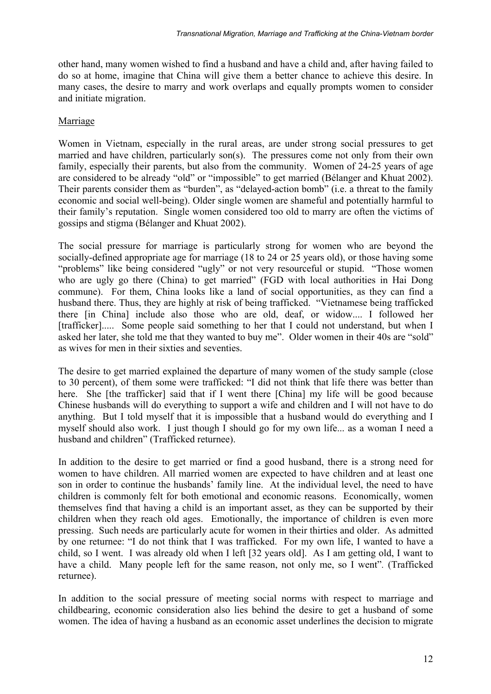other hand, many women wished to find a husband and have a child and, after having failed to do so at home, imagine that China will give them a better chance to achieve this desire. In many cases, the desire to marry and work overlaps and equally prompts women to consider and initiate migration.

# Marriage

Women in Vietnam, especially in the rural areas, are under strong social pressures to get married and have children, particularly son(s). The pressures come not only from their own family, especially their parents, but also from the community. Women of 24-25 years of age are considered to be already "old" or "impossible" to get married (Bélanger and Khuat 2002). Their parents consider them as "burden", as "delayed-action bomb" (i.e. a threat to the family economic and social well-being). Older single women are shameful and potentially harmful to their family's reputation. Single women considered too old to marry are often the victims of gossips and stigma (Bélanger and Khuat 2002).

The social pressure for marriage is particularly strong for women who are beyond the socially-defined appropriate age for marriage (18 to 24 or 25 years old), or those having some "problems" like being considered "ugly" or not very resourceful or stupid. "Those women who are ugly go there (China) to get married" (FGD with local authorities in Hai Dong commune). For them, China looks like a land of social opportunities, as they can find a husband there. Thus, they are highly at risk of being trafficked. "Vietnamese being trafficked there [in China] include also those who are old, deaf, or widow.... I followed her [trafficker]..... Some people said something to her that I could not understand, but when I asked her later, she told me that they wanted to buy me". Older women in their 40s are "sold" as wives for men in their sixties and seventies.

The desire to get married explained the departure of many women of the study sample (close to 30 percent), of them some were trafficked: "I did not think that life there was better than here. She [the trafficker] said that if I went there [China] my life will be good because Chinese husbands will do everything to support a wife and children and I will not have to do anything. But I told myself that it is impossible that a husband would do everything and I myself should also work. I just though I should go for my own life... as a woman I need a husband and children" (Trafficked returnee).

In addition to the desire to get married or find a good husband, there is a strong need for women to have children. All married women are expected to have children and at least one son in order to continue the husbands' family line. At the individual level, the need to have children is commonly felt for both emotional and economic reasons. Economically, women themselves find that having a child is an important asset, as they can be supported by their children when they reach old ages. Emotionally, the importance of children is even more pressing. Such needs are particularly acute for women in their thirties and older. As admitted by one returnee: "I do not think that I was trafficked. For my own life, I wanted to have a child, so I went. I was already old when I left [32 years old]. As I am getting old, I want to have a child. Many people left for the same reason, not only me, so I went"*.* (Trafficked returnee).

In addition to the social pressure of meeting social norms with respect to marriage and childbearing, economic consideration also lies behind the desire to get a husband of some women. The idea of having a husband as an economic asset underlines the decision to migrate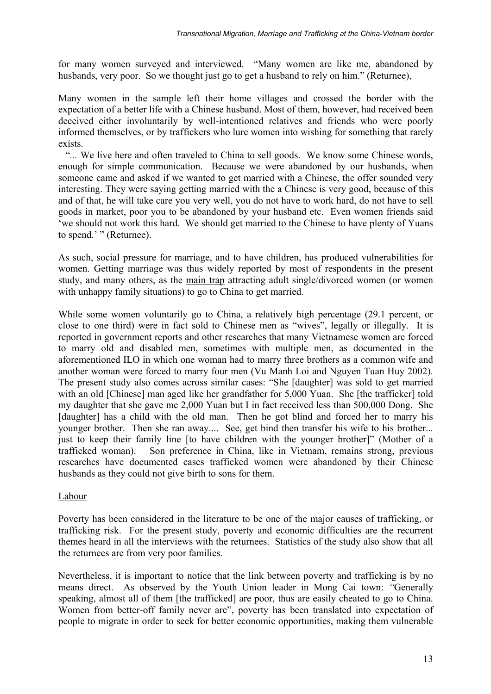for many women surveyed and interviewed. "Many women are like me, abandoned by husbands, very poor. So we thought just go to get a husband to rely on him." (Returnee),

Many women in the sample left their home villages and crossed the border with the expectation of a better life with a Chinese husband. Most of them, however, had received been deceived either involuntarily by well-intentioned relatives and friends who were poorly informed themselves, or by traffickers who lure women into wishing for something that rarely exists.

 "*...* We live here and often traveled to China to sell goods. We know some Chinese words, enough for simple communication. Because we were abandoned by our husbands, when someone came and asked if we wanted to get married with a Chinese, the offer sounded very interesting. They were saying getting married with the a Chinese is very good, because of this and of that, he will take care you very well, you do not have to work hard, do not have to sell goods in market, poor you to be abandoned by your husband etc. Even women friends said 'we should not work this hard. We should get married to the Chinese to have plenty of Yuans to spend.' " (Returnee).

As such, social pressure for marriage, and to have children, has produced vulnerabilities for women. Getting marriage was thus widely reported by most of respondents in the present study, and many others, as the main trap attracting adult single/divorced women (or women with unhappy family situations) to go to China to get married.

While some women voluntarily go to China, a relatively high percentage (29.1 percent, or close to one third) were in fact sold to Chinese men as "wives", legally or illegally. It is reported in government reports and other researches that many Vietnamese women are forced to marry old and disabled men, sometimes with multiple men, as documented in the aforementioned ILO in which one woman had to marry three brothers as a common wife and another woman were forced to marry four men (Vu Manh Loi and Nguyen Tuan Huy 2002). The present study also comes across similar cases: "She [daughter] was sold to get married with an old [Chinese] man aged like her grandfather for 5,000 Yuan. She [the trafficker] told my daughter that she gave me 2,000 Yuan but I in fact received less than 500,000 Dong. She [daughter] has a child with the old man. Then he got blind and forced her to marry his younger brother. Then she ran away.... See, get bind then transfer his wife to his brother... just to keep their family line [to have children with the younger brother]" (Mother of a trafficked woman). Son preference in China, like in Vietnam, remains strong, previous researches have documented cases trafficked women were abandoned by their Chinese husbands as they could not give birth to sons for them.

# Labour

Poverty has been considered in the literature to be one of the major causes of trafficking, or trafficking risk. For the present study, poverty and economic difficulties are the recurrent themes heard in all the interviews with the returnees. Statistics of the study also show that all the returnees are from very poor families.

Nevertheless, it is important to notice that the link between poverty and trafficking is by no means direct. As observed by the Youth Union leader in Mong Cai town: *"*Generally speaking, almost all of them [the trafficked] are poor, thus are easily cheated to go to China. Women from better-off family never are", poverty has been translated into expectation of people to migrate in order to seek for better economic opportunities, making them vulnerable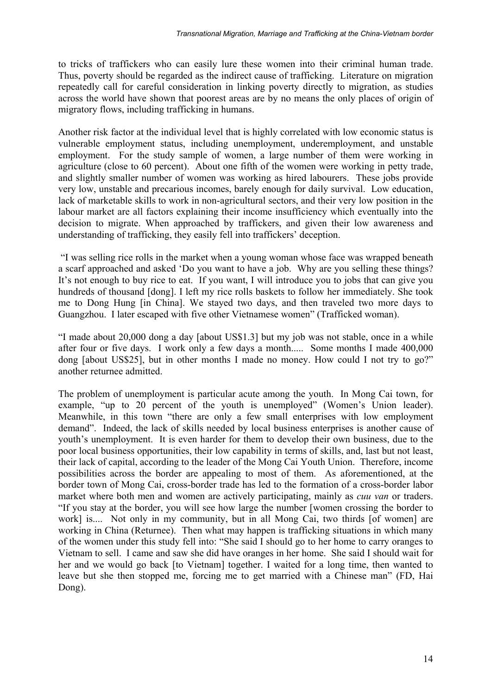to tricks of traffickers who can easily lure these women into their criminal human trade. Thus, poverty should be regarded as the indirect cause of trafficking. Literature on migration repeatedly call for careful consideration in linking poverty directly to migration, as studies across the world have shown that poorest areas are by no means the only places of origin of migratory flows, including trafficking in humans.

Another risk factor at the individual level that is highly correlated with low economic status is vulnerable employment status, including unemployment, underemployment, and unstable employment. For the study sample of women, a large number of them were working in agriculture (close to 60 percent). About one fifth of the women were working in petty trade, and slightly smaller number of women was working as hired labourers. These jobs provide very low, unstable and precarious incomes, barely enough for daily survival. Low education, lack of marketable skills to work in non-agricultural sectors, and their very low position in the labour market are all factors explaining their income insufficiency which eventually into the decision to migrate. When approached by traffickers, and given their low awareness and understanding of trafficking, they easily fell into traffickers' deception.

 "I was selling rice rolls in the market when a young woman whose face was wrapped beneath a scarf approached and asked 'Do you want to have a job. Why are you selling these things? It's not enough to buy rice to eat. If you want, I will introduce you to jobs that can give you hundreds of thousand [dong]. I left my rice rolls baskets to follow her immediately. She took me to Dong Hung [in China]. We stayed two days, and then traveled two more days to Guangzhou. I later escaped with five other Vietnamese women" (Trafficked woman).

"I made about 20,000 dong a day [about US\$1.3] but my job was not stable, once in a while after four or five days. I work only a few days a month..... Some months I made 400,000 dong [about US\$25], but in other months I made no money. How could I not try to go?" another returnee admitted.

The problem of unemployment is particular acute among the youth. In Mong Cai town, for example, "up to 20 percent of the youth is unemployed" (Women's Union leader). Meanwhile, in this town "there are only a few small enterprises with low employment demand". Indeed, the lack of skills needed by local business enterprises is another cause of youth's unemployment. It is even harder for them to develop their own business, due to the poor local business opportunities, their low capability in terms of skills, and, last but not least, their lack of capital, according to the leader of the Mong Cai Youth Union. Therefore, income possibilities across the border are appealing to most of them. As aforementioned, at the border town of Mong Cai, cross-border trade has led to the formation of a cross-border labor market where both men and women are actively participating, mainly as *cuu van* or traders. "If you stay at the border, you will see how large the number [women crossing the border to work] is.... Not only in my community, but in all Mong Cai, two thirds [of women] are working in China (Returnee). Then what may happen is trafficking situations in which many of the women under this study fell into: "She said I should go to her home to carry oranges to Vietnam to sell. I came and saw she did have oranges in her home. She said I should wait for her and we would go back [to Vietnam] together. I waited for a long time, then wanted to leave but she then stopped me, forcing me to get married with a Chinese man" (FD, Hai Dong).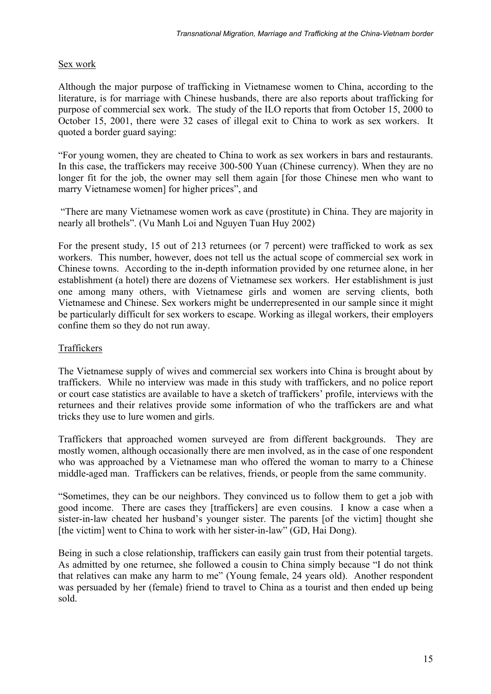# Sex work

Although the major purpose of trafficking in Vietnamese women to China, according to the literature, is for marriage with Chinese husbands, there are also reports about trafficking for purpose of commercial sex work. The study of the ILO reports that from October 15, 2000 to October 15, 2001, there were 32 cases of illegal exit to China to work as sex workers. It quoted a border guard saying:

"For young women, they are cheated to China to work as sex workers in bars and restaurants. In this case, the traffickers may receive 300-500 Yuan (Chinese currency). When they are no longer fit for the job, the owner may sell them again [for those Chinese men who want to marry Vietnamese women] for higher prices", and

 "There are many Vietnamese women work as cave (prostitute) in China. They are majority in nearly all brothels". (Vu Manh Loi and Nguyen Tuan Huy 2002)

For the present study, 15 out of 213 returnees (or 7 percent) were trafficked to work as sex workers. This number, however, does not tell us the actual scope of commercial sex work in Chinese towns. According to the in-depth information provided by one returnee alone, in her establishment (a hotel) there are dozens of Vietnamese sex workers. Her establishment is just one among many others, with Vietnamese girls and women are serving clients, both Vietnamese and Chinese. Sex workers might be underrepresented in our sample since it might be particularly difficult for sex workers to escape. Working as illegal workers, their employers confine them so they do not run away.

# Traffickers

The Vietnamese supply of wives and commercial sex workers into China is brought about by traffickers. While no interview was made in this study with traffickers, and no police report or court case statistics are available to have a sketch of traffickers' profile, interviews with the returnees and their relatives provide some information of who the traffickers are and what tricks they use to lure women and girls.

Traffickers that approached women surveyed are from different backgrounds. They are mostly women, although occasionally there are men involved, as in the case of one respondent who was approached by a Vietnamese man who offered the woman to marry to a Chinese middle-aged man. Traffickers can be relatives, friends, or people from the same community.

"Sometimes, they can be our neighbors. They convinced us to follow them to get a job with good income. There are cases they [traffickers] are even cousins. I know a case when a sister-in-law cheated her husband's younger sister. The parents [of the victim] thought she [the victim] went to China to work with her sister-in-law" (GD, Hai Dong).

Being in such a close relationship, traffickers can easily gain trust from their potential targets. As admitted by one returnee, she followed a cousin to China simply because "I do not think that relatives can make any harm to me" (Young female, 24 years old). Another respondent was persuaded by her (female) friend to travel to China as a tourist and then ended up being sold.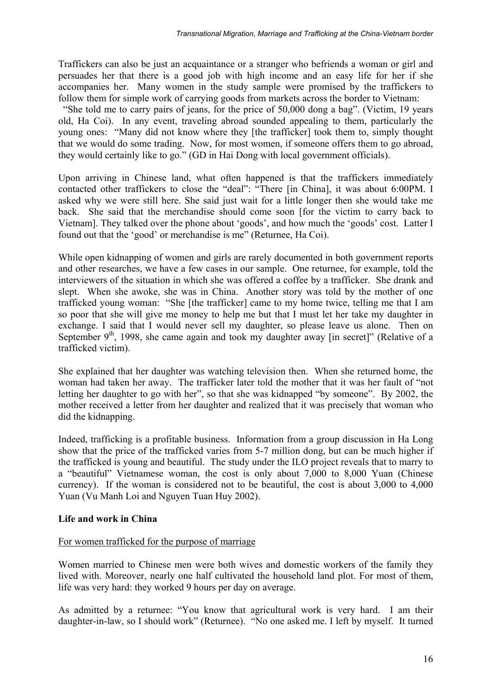Traffickers can also be just an acquaintance or a stranger who befriends a woman or girl and persuades her that there is a good job with high income and an easy life for her if she accompanies her. Many women in the study sample were promised by the traffickers to follow them for simple work of carrying goods from markets across the border to Vietnam:

 "She told me to carry pairs of jeans, for the price of 50,000 dong a bag". (Victim, 19 years old, Ha Coi). In any event, traveling abroad sounded appealing to them, particularly the young ones: "Many did not know where they [the trafficker] took them to, simply thought that we would do some trading. Now, for most women, if someone offers them to go abroad, they would certainly like to go." (GD in Hai Dong with local government officials).

Upon arriving in Chinese land, what often happened is that the traffickers immediately contacted other traffickers to close the "deal": "There [in China], it was about 6:00PM. I asked why we were still here. She said just wait for a little longer then she would take me back. She said that the merchandise should come soon [for the victim to carry back to Vietnam]. They talked over the phone about 'goods', and how much the 'goods' cost. Latter I found out that the 'good' or merchandise is me" (Returnee, Ha Coi).

While open kidnapping of women and girls are rarely documented in both government reports and other researches, we have a few cases in our sample. One returnee, for example, told the interviewers of the situation in which she was offered a coffee by a trafficker. She drank and slept. When she awoke, she was in China. Another story was told by the mother of one trafficked young woman: "She [the trafficker] came to my home twice, telling me that I am so poor that she will give me money to help me but that I must let her take my daughter in exchange. I said that I would never sell my daughter, so please leave us alone. Then on September  $9<sup>th</sup>$ , 1998, she came again and took my daughter away [in secret]" (Relative of a trafficked victim).

She explained that her daughter was watching television then. When she returned home, the woman had taken her away. The trafficker later told the mother that it was her fault of "not letting her daughter to go with her", so that she was kidnapped "by someone". By 2002, the mother received a letter from her daughter and realized that it was precisely that woman who did the kidnapping.

Indeed, trafficking is a profitable business. Information from a group discussion in Ha Long show that the price of the trafficked varies from 5-7 million dong, but can be much higher if the trafficked is young and beautiful. The study under the ILO project reveals that to marry to a "beautiful" Vietnamese woman, the cost is only about 7,000 to 8,000 Yuan (Chinese currency). If the woman is considered not to be beautiful, the cost is about 3,000 to 4,000 Yuan (Vu Manh Loi and Nguyen Tuan Huy 2002).

# **Life and work in China**

#### For women trafficked for the purpose of marriage

Women married to Chinese men were both wives and domestic workers of the family they lived with. Moreover, nearly one half cultivated the household land plot. For most of them, life was very hard: they worked 9 hours per day on average.

As admitted by a returnee: "You know that agricultural work is very hard. I am their daughter-in-law, so I should work" (Returnee). "No one asked me. I left by myself. It turned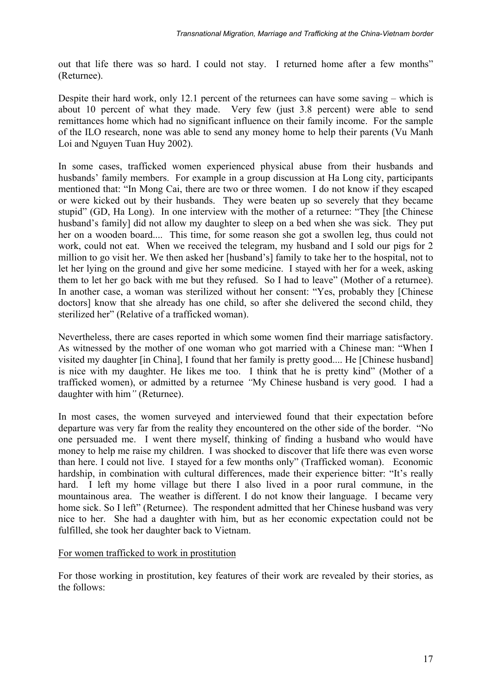out that life there was so hard. I could not stay. I returned home after a few months" (Returnee).

Despite their hard work, only 12.1 percent of the returnees can have some saving – which is about 10 percent of what they made. Very few (just 3.8 percent) were able to send remittances home which had no significant influence on their family income. For the sample of the ILO research, none was able to send any money home to help their parents (Vu Manh Loi and Nguyen Tuan Huy 2002).

In some cases, trafficked women experienced physical abuse from their husbands and husbands' family members. For example in a group discussion at Ha Long city, participants mentioned that: "In Mong Cai, there are two or three women. I do not know if they escaped or were kicked out by their husbands. They were beaten up so severely that they became stupid" (GD, Ha Long). In one interview with the mother of a returnee: "They [the Chinese husband's family] did not allow my daughter to sleep on a bed when she was sick. They put her on a wooden board.... This time, for some reason she got a swollen leg, thus could not work, could not eat. When we received the telegram, my husband and I sold our pigs for 2 million to go visit her. We then asked her [husband's] family to take her to the hospital, not to let her lying on the ground and give her some medicine. I stayed with her for a week, asking them to let her go back with me but they refused. So I had to leave" (Mother of a returnee). In another case, a woman was sterilized without her consent: "Yes, probably they [Chinese doctors] know that she already has one child, so after she delivered the second child, they sterilized her" (Relative of a trafficked woman).

Nevertheless, there are cases reported in which some women find their marriage satisfactory. As witnessed by the mother of one woman who got married with a Chinese man: "When I visited my daughter [in China], I found that her family is pretty good.... He [Chinese husband] is nice with my daughter. He likes me too. I think that he is pretty kind" (Mother of a trafficked women), or admitted by a returnee *"*My Chinese husband is very good. I had a daughter with him*"* (Returnee).

In most cases, the women surveyed and interviewed found that their expectation before departure was very far from the reality they encountered on the other side of the border. "No one persuaded me. I went there myself, thinking of finding a husband who would have money to help me raise my children. I was shocked to discover that life there was even worse than here. I could not live. I stayed for a few months only" (Trafficked woman). Economic hardship, in combination with cultural differences, made their experience bitter: "It's really hard. I left my home village but there I also lived in a poor rural commune, in the mountainous area. The weather is different. I do not know their language. I became very home sick. So I left" (Returnee). The respondent admitted that her Chinese husband was very nice to her. She had a daughter with him, but as her economic expectation could not be fulfilled, she took her daughter back to Vietnam.

#### For women trafficked to work in prostitution

For those working in prostitution, key features of their work are revealed by their stories, as the follows: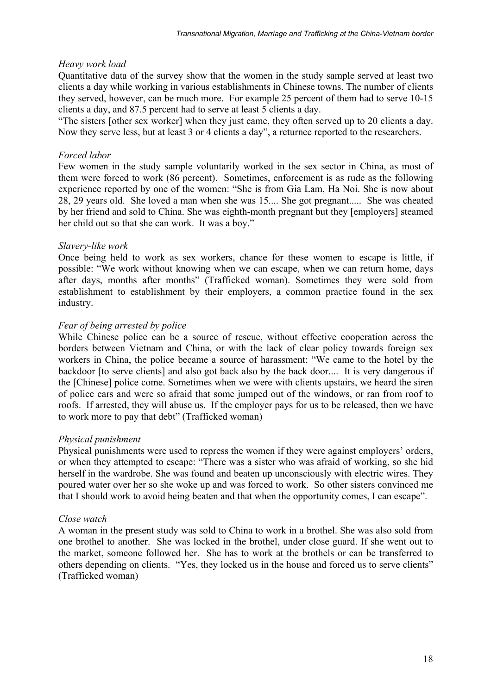#### *Heavy work load*

Quantitative data of the survey show that the women in the study sample served at least two clients a day while working in various establishments in Chinese towns. The number of clients they served, however, can be much more. For example 25 percent of them had to serve 10-15 clients a day, and 87.5 percent had to serve at least 5 clients a day.

"The sisters [other sex worker] when they just came, they often served up to 20 clients a day. Now they serve less, but at least 3 or 4 clients a day", a returnee reported to the researchers.

## *Forced labor*

Few women in the study sample voluntarily worked in the sex sector in China, as most of them were forced to work (86 percent). Sometimes, enforcement is as rude as the following experience reported by one of the women: "She is from Gia Lam, Ha Noi. She is now about 28, 29 years old. She loved a man when she was 15.... She got pregnant..... She was cheated by her friend and sold to China. She was eighth-month pregnant but they [employers] steamed her child out so that she can work. It was a boy."

## *Slavery-like work*

Once being held to work as sex workers, chance for these women to escape is little, if possible: "We work without knowing when we can escape, when we can return home, days after days, months after months" (Trafficked woman). Sometimes they were sold from establishment to establishment by their employers, a common practice found in the sex industry.

## *Fear of being arrested by police*

While Chinese police can be a source of rescue, without effective cooperation across the borders between Vietnam and China, or with the lack of clear policy towards foreign sex workers in China, the police became a source of harassment: "We came to the hotel by the backdoor [to serve clients] and also got back also by the back door.... It is very dangerous if the [Chinese] police come. Sometimes when we were with clients upstairs, we heard the siren of police cars and were so afraid that some jumped out of the windows, or ran from roof to roofs. If arrested, they will abuse us. If the employer pays for us to be released, then we have to work more to pay that debt" (Trafficked woman)

#### *Physical punishment*

Physical punishments were used to repress the women if they were against employers' orders, or when they attempted to escape: "There was a sister who was afraid of working, so she hid herself in the wardrobe. She was found and beaten up unconsciously with electric wires. They poured water over her so she woke up and was forced to work. So other sisters convinced me that I should work to avoid being beaten and that when the opportunity comes, I can escape".

#### *Close watch*

A woman in the present study was sold to China to work in a brothel. She was also sold from one brothel to another. She was locked in the brothel, under close guard. If she went out to the market, someone followed her. She has to work at the brothels or can be transferred to others depending on clients. "Yes, they locked us in the house and forced us to serve clients" (Trafficked woman)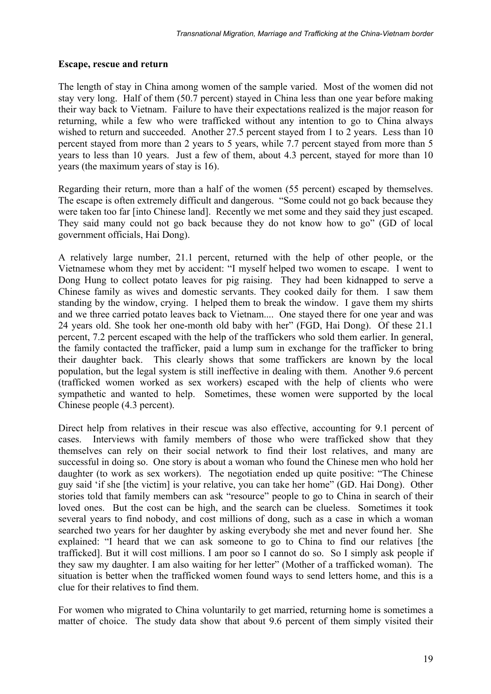## **Escape, rescue and return**

The length of stay in China among women of the sample varied. Most of the women did not stay very long. Half of them (50.7 percent) stayed in China less than one year before making their way back to Vietnam. Failure to have their expectations realized is the major reason for returning, while a few who were trafficked without any intention to go to China always wished to return and succeeded. Another 27.5 percent stayed from 1 to 2 years. Less than 10 percent stayed from more than 2 years to 5 years, while 7.7 percent stayed from more than 5 years to less than 10 years. Just a few of them, about 4.3 percent, stayed for more than 10 years (the maximum years of stay is 16).

Regarding their return, more than a half of the women (55 percent) escaped by themselves. The escape is often extremely difficult and dangerous. "Some could not go back because they were taken too far [into Chinese land]. Recently we met some and they said they just escaped. They said many could not go back because they do not know how to go" (GD of local government officials, Hai Dong).

A relatively large number, 21.1 percent, returned with the help of other people, or the Vietnamese whom they met by accident: "I myself helped two women to escape. I went to Dong Hung to collect potato leaves for pig raising. They had been kidnapped to serve a Chinese family as wives and domestic servants. They cooked daily for them. I saw them standing by the window, crying. I helped them to break the window. I gave them my shirts and we three carried potato leaves back to Vietnam.... One stayed there for one year and was 24 years old. She took her one-month old baby with her" (FGD, Hai Dong). Of these 21.1 percent, 7.2 percent escaped with the help of the traffickers who sold them earlier. In general, the family contacted the trafficker, paid a lump sum in exchange for the trafficker to bring their daughter back. This clearly shows that some traffickers are known by the local population, but the legal system is still ineffective in dealing with them. Another 9.6 percent (trafficked women worked as sex workers) escaped with the help of clients who were sympathetic and wanted to help. Sometimes, these women were supported by the local Chinese people (4.3 percent).

Direct help from relatives in their rescue was also effective, accounting for 9.1 percent of cases. Interviews with family members of those who were trafficked show that they themselves can rely on their social network to find their lost relatives, and many are successful in doing so. One story is about a woman who found the Chinese men who hold her daughter (to work as sex workers). The negotiation ended up quite positive: "The Chinese guy said 'if she [the victim] is your relative, you can take her home" (GD. Hai Dong). Other stories told that family members can ask "resource" people to go to China in search of their loved ones. But the cost can be high, and the search can be clueless. Sometimes it took several years to find nobody, and cost millions of dong, such as a case in which a woman searched two years for her daughter by asking everybody she met and never found her. She explained: "I heard that we can ask someone to go to China to find our relatives [the trafficked]. But it will cost millions. I am poor so I cannot do so. So I simply ask people if they saw my daughter. I am also waiting for her letter" (Mother of a trafficked woman). The situation is better when the trafficked women found ways to send letters home, and this is a clue for their relatives to find them.

For women who migrated to China voluntarily to get married, returning home is sometimes a matter of choice. The study data show that about 9.6 percent of them simply visited their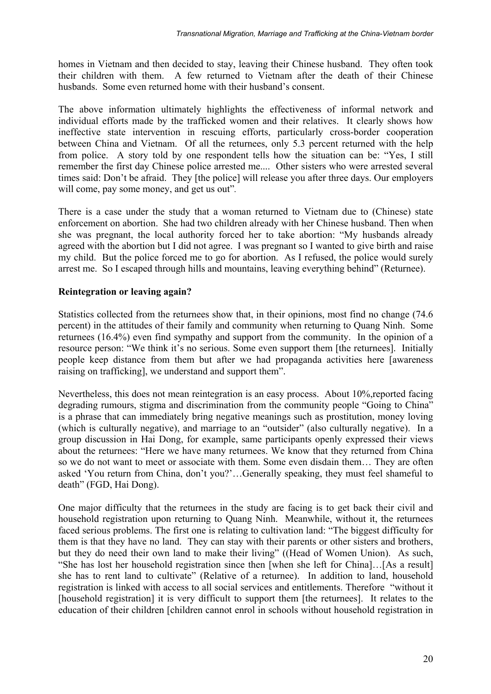homes in Vietnam and then decided to stay, leaving their Chinese husband. They often took their children with them. A few returned to Vietnam after the death of their Chinese husbands. Some even returned home with their husband's consent.

The above information ultimately highlights the effectiveness of informal network and individual efforts made by the trafficked women and their relatives. It clearly shows how ineffective state intervention in rescuing efforts, particularly cross-border cooperation between China and Vietnam. Of all the returnees, only 5.3 percent returned with the help from police. A story told by one respondent tells how the situation can be: "Yes, I still remember the first day Chinese police arrested me.... Other sisters who were arrested several times said: Don't be afraid. They [the police] will release you after three days. Our employers will come, pay some money, and get us out"*.* 

There is a case under the study that a woman returned to Vietnam due to (Chinese) state enforcement on abortion. She had two children already with her Chinese husband. Then when she was pregnant, the local authority forced her to take abortion: "My husbands already agreed with the abortion but I did not agree. I was pregnant so I wanted to give birth and raise my child. But the police forced me to go for abortion. As I refused, the police would surely arrest me. So I escaped through hills and mountains, leaving everything behind" (Returnee).

## **Reintegration or leaving again?**

Statistics collected from the returnees show that, in their opinions, most find no change (74.6 percent) in the attitudes of their family and community when returning to Quang Ninh. Some returnees (16.4%) even find sympathy and support from the community. In the opinion of a resource person: "We think it's no serious. Some even support them [the returnees]. Initially people keep distance from them but after we had propaganda activities here [awareness raising on trafficking], we understand and support them".

Nevertheless, this does not mean reintegration is an easy process. About 10%, reported facing degrading rumours, stigma and discrimination from the community people "Going to China" is a phrase that can immediately bring negative meanings such as prostitution, money loving (which is culturally negative), and marriage to an "outsider" (also culturally negative). In a group discussion in Hai Dong, for example, same participants openly expressed their views about the returnees: "Here we have many returnees. We know that they returned from China so we do not want to meet or associate with them. Some even disdain them… They are often asked 'You return from China, don't you?'…Generally speaking, they must feel shameful to death" (FGD, Hai Dong).

One major difficulty that the returnees in the study are facing is to get back their civil and household registration upon returning to Quang Ninh. Meanwhile, without it, the returnees faced serious problems. The first one is relating to cultivation land: "The biggest difficulty for them is that they have no land. They can stay with their parents or other sisters and brothers, but they do need their own land to make their living" ((Head of Women Union). As such, "She has lost her household registration since then [when she left for China]…[As a result] she has to rent land to cultivate" (Relative of a returnee). In addition to land, household registration is linked with access to all social services and entitlements. Therefore "without it [household registration] it is very difficult to support them [the returnees]. It relates to the education of their children [children cannot enrol in schools without household registration in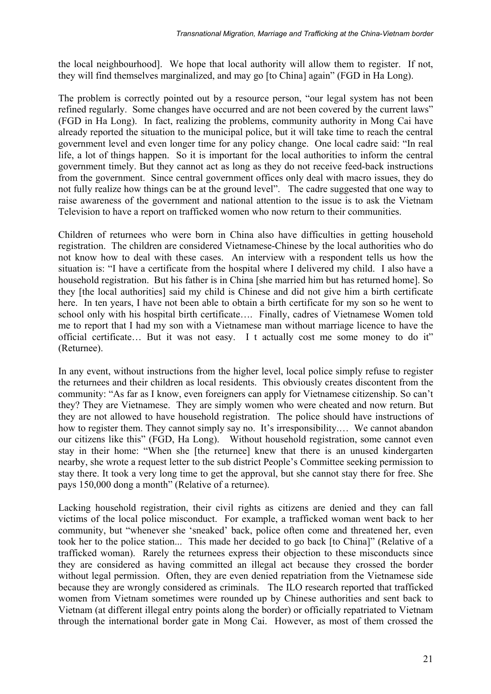the local neighbourhood]. We hope that local authority will allow them to register. If not, they will find themselves marginalized, and may go [to China] again" (FGD in Ha Long).

The problem is correctly pointed out by a resource person, "our legal system has not been refined regularly. Some changes have occurred and are not been covered by the current laws" (FGD in Ha Long). In fact, realizing the problems, community authority in Mong Cai have already reported the situation to the municipal police, but it will take time to reach the central government level and even longer time for any policy change. One local cadre said: "In real life, a lot of things happen. So it is important for the local authorities to inform the central government timely. But they cannot act as long as they do not receive feed-back instructions from the government. Since central government offices only deal with macro issues, they do not fully realize how things can be at the ground level". The cadre suggested that one way to raise awareness of the government and national attention to the issue is to ask the Vietnam Television to have a report on trafficked women who now return to their communities.

Children of returnees who were born in China also have difficulties in getting household registration. The children are considered Vietnamese-Chinese by the local authorities who do not know how to deal with these cases. An interview with a respondent tells us how the situation is: "I have a certificate from the hospital where I delivered my child. I also have a household registration. But his father is in China [she married him but has returned home]. So they [the local authorities] said my child is Chinese and did not give him a birth certificate here. In ten years, I have not been able to obtain a birth certificate for my son so he went to school only with his hospital birth certificate…. Finally, cadres of Vietnamese Women told me to report that I had my son with a Vietnamese man without marriage licence to have the official certificate… But it was not easy. I t actually cost me some money to do it" (Returnee).

In any event, without instructions from the higher level, local police simply refuse to register the returnees and their children as local residents. This obviously creates discontent from the community: "As far as I know, even foreigners can apply for Vietnamese citizenship. So can't they? They are Vietnamese. They are simply women who were cheated and now return. But they are not allowed to have household registration. The police should have instructions of how to register them. They cannot simply say no. It's irresponsibility.… We cannot abandon our citizens like this" (FGD, Ha Long). Without household registration, some cannot even stay in their home: "When she [the returnee] knew that there is an unused kindergarten nearby, she wrote a request letter to the sub district People's Committee seeking permission to stay there. It took a very long time to get the approval, but she cannot stay there for free. She pays 150,000 dong a month" (Relative of a returnee).

Lacking household registration, their civil rights as citizens are denied and they can fall victims of the local police misconduct. For example, a trafficked woman went back to her community, but "whenever she 'sneaked' back, police often come and threatened her, even took her to the police station... This made her decided to go back [to China]" (Relative of a trafficked woman). Rarely the returnees express their objection to these misconducts since they are considered as having committed an illegal act because they crossed the border without legal permission. Often, they are even denied repatriation from the Vietnamese side because they are wrongly considered as criminals. The ILO research reported that trafficked women from Vietnam sometimes were rounded up by Chinese authorities and sent back to Vietnam (at different illegal entry points along the border) or officially repatriated to Vietnam through the international border gate in Mong Cai. However, as most of them crossed the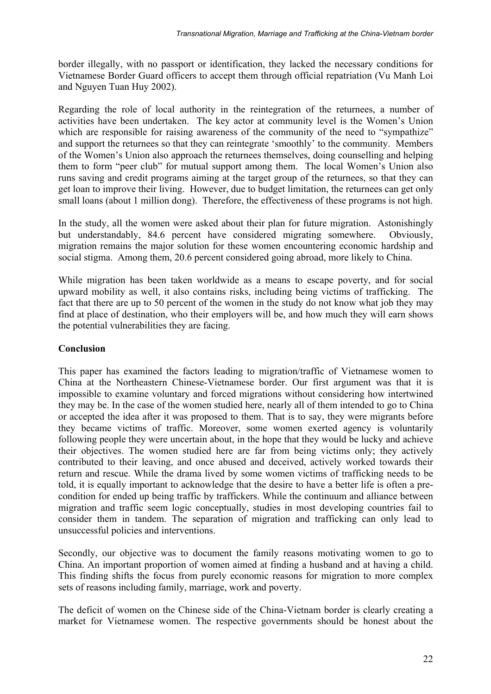border illegally, with no passport or identification, they lacked the necessary conditions for Vietnamese Border Guard officers to accept them through official repatriation (Vu Manh Loi and Nguyen Tuan Huy 2002).

Regarding the role of local authority in the reintegration of the returnees, a number of activities have been undertaken. The key actor at community level is the Women's Union which are responsible for raising awareness of the community of the need to "sympathize" and support the returnees so that they can reintegrate 'smoothly' to the community. Members of the Women's Union also approach the returnees themselves, doing counselling and helping them to form "peer club" for mutual support among them. The local Women's Union also runs saving and credit programs aiming at the target group of the returnees, so that they can get loan to improve their living. However, due to budget limitation, the returnees can get only small loans (about 1 million dong). Therefore, the effectiveness of these programs is not high.

In the study, all the women were asked about their plan for future migration. Astonishingly but understandably, 84.6 percent have considered migrating somewhere. Obviously, migration remains the major solution for these women encountering economic hardship and social stigma. Among them, 20.6 percent considered going abroad, more likely to China.

While migration has been taken worldwide as a means to escape poverty, and for social upward mobility as well, it also contains risks, including being victims of trafficking. The fact that there are up to 50 percent of the women in the study do not know what job they may find at place of destination, who their employers will be, and how much they will earn shows the potential vulnerabilities they are facing.

#### **Conclusion**

This paper has examined the factors leading to migration/traffic of Vietnamese women to China at the Northeastern Chinese-Vietnamese border. Our first argument was that it is impossible to examine voluntary and forced migrations without considering how intertwined they may be. In the case of the women studied here, nearly all of them intended to go to China or accepted the idea after it was proposed to them. That is to say, they were migrants before they became victims of traffic. Moreover, some women exerted agency is voluntarily following people they were uncertain about, in the hope that they would be lucky and achieve their objectives. The women studied here are far from being victims only; they actively contributed to their leaving, and once abused and deceived, actively worked towards their return and rescue. While the drama lived by some women victims of trafficking needs to be told, it is equally important to acknowledge that the desire to have a better life is often a precondition for ended up being traffic by traffickers. While the continuum and alliance between migration and traffic seem logic conceptually, studies in most developing countries fail to consider them in tandem. The separation of migration and trafficking can only lead to unsuccessful policies and interventions.

Secondly, our objective was to document the family reasons motivating women to go to China. An important proportion of women aimed at finding a husband and at having a child. This finding shifts the focus from purely economic reasons for migration to more complex sets of reasons including family, marriage, work and poverty.

The deficit of women on the Chinese side of the China-Vietnam border is clearly creating a market for Vietnamese women. The respective governments should be honest about the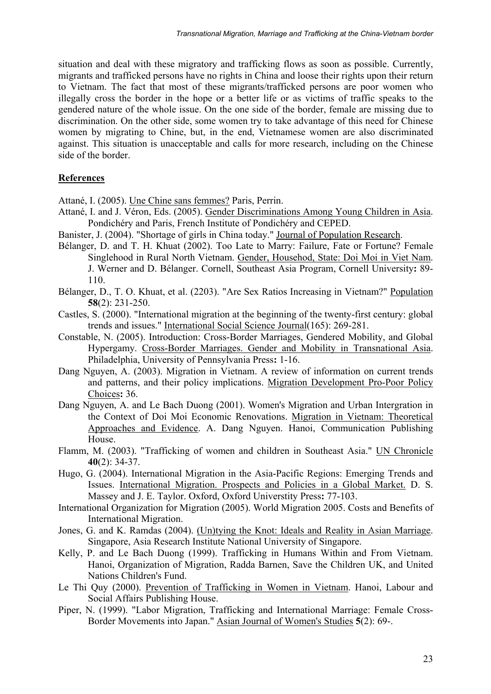situation and deal with these migratory and trafficking flows as soon as possible. Currently, migrants and trafficked persons have no rights in China and loose their rights upon their return to Vietnam. The fact that most of these migrants/trafficked persons are poor women who illegally cross the border in the hope or a better life or as victims of traffic speaks to the gendered nature of the whole issue. On the one side of the border, female are missing due to discrimination. On the other side, some women try to take advantage of this need for Chinese women by migrating to Chine, but, in the end, Vietnamese women are also discriminated against. This situation is unacceptable and calls for more research, including on the Chinese side of the border.

# **References**

Attané, I. (2005). Une Chine sans femmes? Paris, Perrin.

- Attané, I. and J. Véron, Eds. (2005). Gender Discriminations Among Young Children in Asia. Pondichéry and Paris, French Institute of Pondichéry and CEPED.
- Banister, J. (2004). "Shortage of girls in China today." Journal of Population Research.
- Bélanger, D. and T. H. Khuat (2002). Too Late to Marry: Failure, Fate or Fortune? Female Singlehood in Rural North Vietnam. Gender, Househod, State: Doi Moi in Viet Nam. J. Werner and D. Bélanger. Cornell, Southeast Asia Program, Cornell University**:** 89- 110.
- Bélanger, D., T. O. Khuat, et al. (2203). "Are Sex Ratios Increasing in Vietnam?" Population **58**(2): 231-250.
- Castles, S. (2000). "International migration at the beginning of the twenty-first century: global trends and issues." International Social Science Journal(165): 269-281.
- Constable, N. (2005). Introduction: Cross-Border Marriages, Gendered Mobility, and Global Hypergamy. Cross-Border Marriages. Gender and Mobility in Transnational Asia. Philadelphia, University of Pennsylvania Press**:** 1-16.
- Dang Nguyen, A. (2003). Migration in Vietnam. A review of information on current trends and patterns, and their policy implications. Migration Development Pro-Poor Policy Choices**:** 36.
- Dang Nguyen, A. and Le Bach Duong (2001). Women's Migration and Urban Intergration in the Context of Doi Moi Economic Renovations. Migration in Vietnam: Theoretical Approaches and Evidence. A. Dang Nguyen. Hanoi, Communication Publishing House.
- Flamm, M. (2003). "Trafficking of women and children in Southeast Asia." UN Chronicle **40**(2): 34-37.
- Hugo, G. (2004). International Migration in the Asia-Pacific Regions: Emerging Trends and Issues. International Migration. Prospects and Policies in a Global Market. D. S. Massey and J. E. Taylor. Oxford, Oxford Universtity Press**:** 77-103.
- International Organization for Migration (2005). World Migration 2005. Costs and Benefits of International Migration.
- Jones, G. and K. Ramdas (2004). (Un)tying the Knot: Ideals and Reality in Asian Marriage. Singapore, Asia Research Institute National University of Singapore.
- Kelly, P. and Le Bach Duong (1999). Trafficking in Humans Within and From Vietnam. Hanoi, Organization of Migration, Radda Barnen, Save the Children UK, and United Nations Children's Fund.
- Le Thi Quy (2000). Prevention of Trafficking in Women in Vietnam. Hanoi, Labour and Social Affairs Publishing House.
- Piper, N. (1999). "Labor Migration, Trafficking and International Marriage: Female Cross-Border Movements into Japan." Asian Journal of Women's Studies **5**(2): 69-.